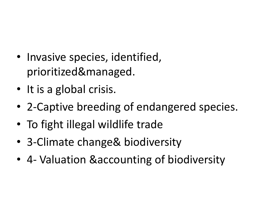- Invasive species, identified, prioritized&managed.
- It is a global crisis.
- 2-Captive breeding of endangered species.
- To fight illegal wildlife trade
- 3-Climate change& biodiversity
- 4- Valuation &accounting of biodiversity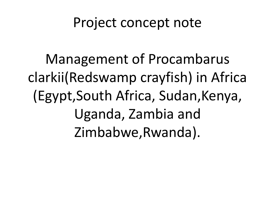#### Project concept note

Management of Procambarus clarkii(Redswamp crayfish) in Africa (Egypt,South Africa, Sudan,Kenya, Uganda, Zambia and Zimbabwe,Rwanda).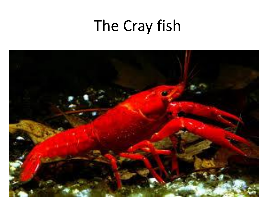## The Cray fish

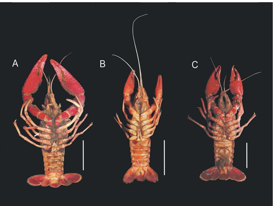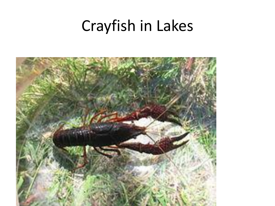## Crayfish in Lakes

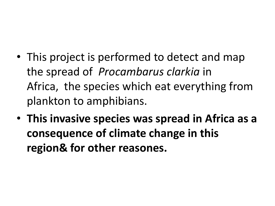- This project is performed to detect and map the spread of *Procambarus clarkia* in Africa, the species which eat everything from plankton to amphibians.
- **This invasive species was spread in Africa as a consequence of climate change in this region& for other reasones.**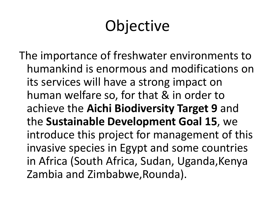# **Objective**

The importance of freshwater environments to humankind is enormous and modifications on its services will have a strong impact on human welfare so, for that & in order to achieve the **Aichi Biodiversity Target 9** and the **Sustainable Development Goal 15**, we introduce this project for management of this invasive species in Egypt and some countries in Africa (South Africa, Sudan, Uganda,Kenya Zambia and Zimbabwe,Rounda).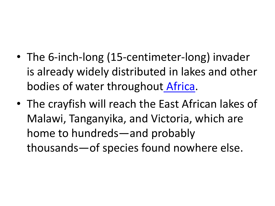- The 6-inch-long (15-centimeter-long) invader is already widely distributed in lakes and other bodies of water throughout [Africa](http://travel.nationalgeographic.com/travel/countries/south-africa-guide/).
- The crayfish will reach the East African lakes of Malawi, Tanganyika, and Victoria, which are home to hundreds—and probably thousands—of species found nowhere else.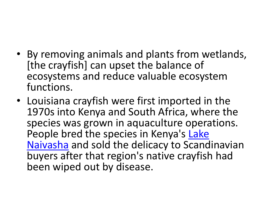- By removing animals and plants from wetlands, [the crayfish] can upset the balance of ecosystems and reduce valuable ecosystem functions.
- Louisiana crayfish were first imported in the 1970s into Kenya and South Africa, where the species was grown in aquaculture operations. People bred the species in Kenya's [Lake](http://maps.nationalgeographic.com/maps/map-machine)  [Naivasha](http://maps.nationalgeographic.com/maps/map-machine) and sold the delicacy to Scandinavian buyers after that region's native crayfish had been wiped out by disease.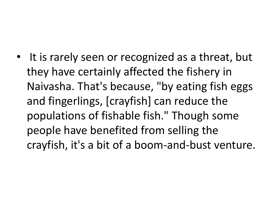• It is rarely seen or recognized as a threat, but they have certainly affected the fishery in Naivasha. That's because, "by eating fish eggs and fingerlings, [crayfish] can reduce the populations of fishable fish." Though some people have benefited from selling the crayfish, it's a bit of a boom-and-bust venture.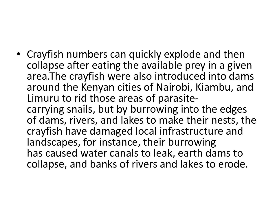• Crayfish numbers can quickly explode and then collapse after eating the available prey in a given area.The crayfish were also introduced into dams around the Kenyan cities of Nairobi, Kiambu, and Limuru to rid those areas of parasitecarrying snails, but by burrowing into the edges of dams, rivers, and lakes to make their nests, the crayfish have damaged local infrastructure and landscapes, for instance, their burrowing has caused water canals to leak, earth dams to collapse, and banks of rivers and lakes to erode.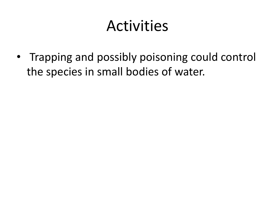## Activities

• Trapping and possibly poisoning could control the species in small bodies of water.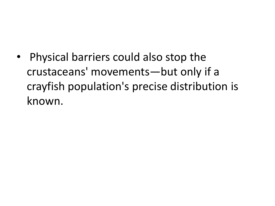• Physical barriers could also stop the crustaceans' movements—but only if a crayfish population's precise distribution is known.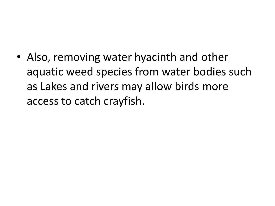• Also, removing water hyacinth and other aquatic weed species from water bodies such as Lakes and rivers may allow birds more access to catch crayfish.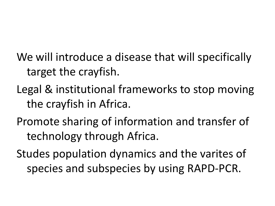We will introduce a disease that will specifically target the crayfish.

- Legal & institutional frameworks to stop moving the crayfish in Africa.
- Promote sharing of information and transfer of technology through Africa.
- Studes population dynamics and the varites of species and subspecies by using RAPD-PCR.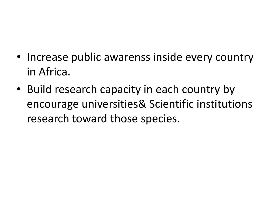- Increase public awarenss inside every country in Africa.
- Build research capacity in each country by encourage universities& Scientific institutions research toward those species.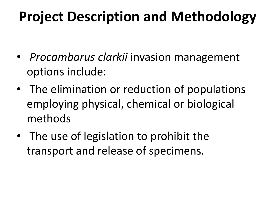### **Project Description and Methodology**

- *Procambarus clarkii* invasion management options include:
- The elimination or reduction of populations employing physical, chemical or biological methods
- The use of legislation to prohibit the transport and release of specimens.